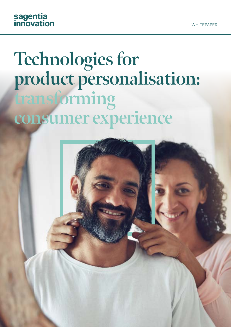# sagentia<br>innovation

# **Technologies for product personalisation: transforming consumer experience**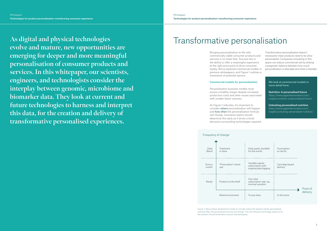**As digital and physical technologies evolve and mature, new opportunities are emerging for deeper and more meaningful personalisation of consumer products and services. In this whitepaper, our scientists, engineers, and technologists consider the interplay between genomic, microbiome and biomarker data. They look at current and future technologies to harness and interpret this data, for the creation and delivery of transformative personalised experiences.** 

Bringing personalisation to life with commercially viable consumer products and services is no mean feat. Success lies in the ability to offer a meaningful experience at the right price point to drive consumer loyalty. We've explored commercial models in previous whitepapers, and Figure 1 outlines a framework of potential options.

### Commercial models for personalisation

Personalisation business models must ensure a healthy margin despite increased production costs and other issues associated with smaller batch volumes.

As Figure 1 indicates, it's important to consider where personalisation will happen and **how often** the personalisation formula will change. Innovation teams should determine this early as it drives critical decisions surrounding technologies required. Transformative personalisation doesn't necessarily mean products need to be ultrapersonalised. Companies innovating in this space can reduce commercial risk by striking a pragmatic balance between how much personalisation is desirable and what is feasible.

## Transformative personalisation

| Daily  | Treatment             |  |
|--------|-----------------------|--|
| Blend  | in store              |  |
| Once a | "Prescription" check- |  |
| month  | ups                   |  |
| Rarely | Product on the shelf  |  |
|        | Retail environment    |  |

| change                       |                                                               |                             |          |  |
|------------------------------|---------------------------------------------------------------|-----------------------------|----------|--|
| Treatment<br>in store        | Daily packs, bundled<br>for the month                         | Formulation<br>on the fly   |          |  |
| "Prescription" check-<br>ups | Variable regular<br>subscription with<br>ongoing data logging | Cartridge based<br>delivery |          |  |
| Product on the shelf         | One-shot<br>subscription sign-up,<br>minimal variation        |                             | Point of |  |
| Retail environment           | To your door                                                  | In the home                 | delivery |  |

### Frequency of change

Figure 1: New product development needs to consider where the product will be personalised, and how often the personalised formula will change. This will influence technology selection for the product, the personalisation process and packaging.

We look at commercial models in more detail here:

Nutrition: A personalised future [https://www.sagentiainnovation.com/](https://www.sagentiainnovation.com/insights/nutrition-a-personalised-future/) [insights/nutrition-a-personalised-future/](https://www.sagentiainnovation.com/insights/nutrition-a-personalised-future/)

Unlocking personalised nutrition [https://www.sagentiainnovation.com/](https://www.sagentiainnovation.com/insights/unlocking-personalised-nutrition/) [insights/unlocking-personalised-nutrition/](https://www.sagentiainnovation.com/insights/unlocking-personalised-nutrition/)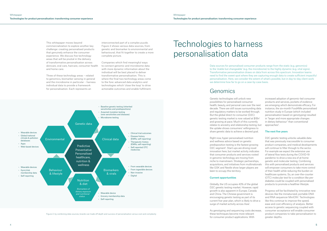This whitepaper moves beyond commercialization to explore another key challenge: creating personalised products that genuinely enhance the consumer experience. We discuss five technology areas that will be pivotal in the delivery of transformative personalisation across skincare, oral care, haircare, consumer health and home care.

Three of these technology areas – related to genomics, biomarker sensing in general and the microbiome in particular – harness individual data to provide a framework for personalisation. Each represents an

interconnected part of a complex puzzle. Figure 2 shows various data sources, from genetic and biomarker to environmental and behavioural, that fit together to create a more complete picture.

Companies which find meaningful ways to connect genomic and microbiome data with more dynamic information about the individual will be best placed to deliver transformative personalisation. This is where the final two technology areas come to the fore: advanced data analytics and technologies which 'close the loop' to drive actionable outcomes and enable fulfilment.

> Globally, the US occupies 43% of the global D2C genetic testing market. However, rapid growth is also apparent in Europe, Canada and China. The Chinese government is encouraging genetic testing as part of its current five-year plan, which is likely to drive a surge of market activity across Asia<sup>1</sup>.

Figure 2: by combining data sources, brands can trade off depth and success of personalisation versus cost and complexity

increased adoption of genomic-led consumer products and services, pockets of evidence are emerging which demonstrate efficacy. For instance, the six-month Food4Me personalised nutrition study in Europe (which included personalisation based on genotyping) resulted in "larger and more appropriate changes in dietary behaviour" than conventional approaches<sup>2</sup>.

possibilities for personalised consumer health, beauty, and personal care over the next decade. There are still issues surrounding data and regulatory matters to be worked through. But the global direct-to-consumer (D2C) genetic testing market is now valued at \$1Bn<sup>1</sup> and growing at pace. Much of this currently relates to ancestry and relationship testing, but the uptake shows consumers' willingness to share genetic data to achieve a desired goal.

> D<sub>2</sub>C genetic testing unlocks valuable data that was previously inaccessible to consumer product companies, and medical developments will continue to filter through to the sector. For example we expect the extensive use of lateral flow tests during the COVID-19 pandemic to drive a new era of at-home genetic and molecular testing. Combining this with personalised products and services will empower consumers to take more control of their health while reducing the burden on healthcare systems. So, an over-the-counter (OTC) molecular test for a condition like prediabetes could be coupled with personalised products to promote a healthier lifestyle.

Right now, hyper-personalised nutrition and wellness advice based on genetic predisposition testing is the fastest growing D2C segment<sup>1</sup>. Start-ups are driving novel innovation here, but market activity indicates that consumer products and services rooted in genomic technology are moving from niche to mainstream. Strategic partnerships, acquisitions, and initiatives from multinationals like GSK and Nestle show larger players are keen to occupy this territory.

### Current opportunities

As genotyping and sequencing costs decrease, these techniques become more relevant for consumer product applications. With

### The next five years



Progress will be facilitated by innovative new devices like the miniaturized, portable DNA and RNA sequencer MinION<sup>3</sup>. Technologies like this continue to improve the speed, ease and cost-efficiency of analysis. Better access to genetic sequencing coupled with consumer acceptance will enable consumer product companies to take personalisation to greater depths.

## Genomics

# Technologies to harness personalisation data

Data sources for personalised consumer products range from the static (e.g. genomics) to the 'stable but changeable' (e.g. the microbiome) to the highly dynamic (e.g. vital signs). Transformative personalisation draws on data from across this spectrum. Innovation teams need to find the sweet spot where they are capturing enough data to create sufficient impactful personalisation. Here, we consider the extent of what's possible, but in day-to-day client work we determine how far to go on a case-by-case basis.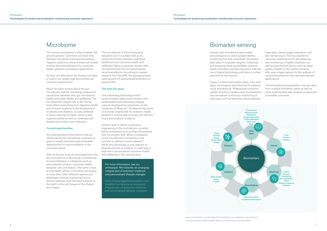The human microbiome is often dubbed 'the second genome', and there are close links between microbiome and genome testing. Together, data from these entities will enable science-led personalisation for consumer health, wellness, and beauty applications.

So how can data about the diverse microbes on and in our bodies help drive enhanced customer experiences?

Much has been written about the gut microbiome and the increasing evidence of causal links between diet, gut microbiome health, and wider health and wellbeing. The microbiome's integral role in the human body affects everything from digestive health and immune response to the development of obesity and diabetes. It's also believed to have a bearing on sleep, memory and cognitive ability as well as cardiovascular disease and urinary tract infections.

### Current opportunities

As understanding of the factors that are influenced by the microbiome continues to grow, it reveals attractive and achievable opportunities for personalisation in the consumer space.

With its diverse array of microorganisms, the skin microbiome is becoming a cornerstone of personalisation in categories such as personalised nutrition, consumer health, personal care, and beauty. The same is true of oral health, where a microbial community of more than 1,000 different species and phylotypes must be maintained across distinct habitats, from the hard surfaces of the teeth to the soft tissues of the cheeks and tongue.

The microbiome is still an emerging discipline, but it is widely held as an important frontier between traditional healthcare and consumer health and wellbeing. Many companies already offer microbiome test kits and personalised recommendations. According to market research firm Fact.MR, the average annual sales growth for personalised probiotics is around 14%4.

### The next five years

One interesting technology which points towards likely future trends is the swallowable bioluminescent imaging capsule developed by researchers at the University of Missouri5. By determining levels of enzymes responsible for probiotic health benefits it may be able to assess the efficacy of pre and probiotic products.

Another area to watch is precision engineering of the microbiome, currently led by companies such as Eligo Biosciences with its solution that "allows modulation of the microbiome's composition and function to address human disease"6. While this technology is only relevant to pharmaceuticals at present, it could play a lead role in personalised consumer health and wellbeing in the coming years.

Genetic and microbiome data enable personalisation to reach greater depths; combining this with individuals' biomarker data takes it to greater heights. Collecting and analysing these quantifiable, dynamic health indicators has become easier with the rise of digital technology and there is further potential on the horizon.

Figure 3 outlines biomarker types, from vital signs, neurological and chemical to auditory, visual and physical. Widespread consumer uptake of activity trackers and smartwatches has normalized continuous monitoring of vital signs such as heartrate, blood pressure,

respiration, blood oxygen saturation, and skin temperature. This has resulted in consumer applications for the diagnosis and monitoring of health conditions as well as exercise and factors such as sleep quality. Parallel to this, phone cameras offer easy image capture for the analysis of visual biomarkers for skincare and haircare applications.

Transformative personalisation requires data from multiple biomarker types as well as more sophisticated data analysis to generate actionable outcomes.

For more information, see our whitepaper Microbiome: an emerging integral part of precision medicine and personalised lifestyle changes

[https://www.sagentiainnovation.com/](https://www.sagentiainnovation.com/insights/microbiome-an-emerging-integral-part-of-precision-medicine-and-personalised-lifestyle-changes/) [insights/microbiome-an-emerging](https://www.sagentiainnovation.com/insights/microbiome-an-emerging-integral-part-of-precision-medicine-and-personalised-lifestyle-changes/)[integral-part-of-precision-medicine](https://www.sagentiainnovation.com/insights/microbiome-an-emerging-integral-part-of-precision-medicine-and-personalised-lifestyle-changes/)[and-personalised-lifestyle-changes/](https://www.sagentiainnovation.com/insights/microbiome-an-emerging-integral-part-of-precision-medicine-and-personalised-lifestyle-changes/) 

## Microbiome Biomarker sensing

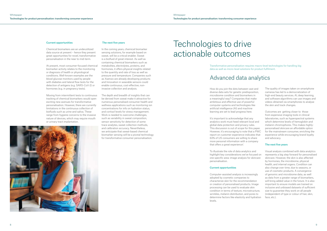### Current opportunities

Chemical biomarkers are an underutilized data source at present – hence they present great opportunities for novel, transformative personalisation in the near to mid-term.

At present, most consumer-focused chemical biomarker activity relates to the monitoring or diagnosis of health or physiological conditions. Well-known examples are the blood glucose monitors used by people with diabetes and lateral flow tests for the detection of antigens (e.g. SARS-CoV-2) or hormones (e.g. in pregnancy tests).

Moving from intermittent tests to continuous tracking of chemical biomarkers would open exciting new avenues for transformative personalisation. However, there are currently limitations in the continuous collection of biofluids such as urine and saliva. These range from hygiene concerns to the invasive nature of devices, which may require mouth or urinary tract implantation.

### The next five years

In the coming years, chemical biomarker sensing solutions, for example based on sweat, will be a critical enabler. Sweat is a biofluid of great interest. As well as containing chemical biomarkers such as metabolites, electrolytes, proteins, and hormones, it offers physical insights related to the quantity and rate of loss as well as pressure and temperature. Companies such as Xsensio are already developing products and Innovation in wearable sensors could enable continuous, cost-effective, noninvasive collection and analysis.

> It's important to acknowledge that any analytics work must heed relevant local and global data protection and privacy rules. This discussion is out of scope for this paper. However, it's encouraging to note that a PWC report on customer experience indicates that 63% of US consumers are willing to share more personal information with a company that offers a great experience<sup>7</sup>.

The depth and breadth of insights that can be derived from sweat make it attractive for numerous personalised consumer health and wellness applications such as monitoring ion concentrations for info on hydration status, and cortisol levels for stress management. Work is needed to overcome challenges, such as variability in sweat composition, sensor sensitivity for detection of some trace analytes, sweat collection methods, and calibration accuracy. Nevertheless, we anticipate that sweat-based chemical biomarker sensing will be a pivotal technology for transformative consumer personalisation.

# Technologies to drive actionable outcomes

Transformative personalisation requires macro-level technologies for handling big data as well as micro-level solutions for product fulfilment.

How do you join the dots between vast and diverse data sets for genetic predisposition, microbiome condition and biomarkers in a meaningful way? Companies that make ambitious and effective use of powerful computer systems and technologies like artificial intelligence (AI) and machine learning are set to lead progress here.

To illustrate the role of data analytics and highlight key considerations we've focused on one specific area: image analysis for skincare personalisation.

### Current opportunities

Computer-assisted analysis is increasingly adopted by cosmetic companies to characterize skin for the recommendation or creation of personalised products. Image processing can be used to evaluate skin condition in terms of texture, microstructure, wrinkles, melanin distribution, and pores to determine factors like elasticity and hydration levels.



The quality of images taken on smartphone cameras has led to a democratization of high-end beauty services. AI, deep learning, and software algorithms can use images and videos obtained via smartphones to analyse the skin and track changes.

Outcomes are getting closer to those from expensive imaging tools in clinical laboratories, such as hyperspectral systems which determine levels of hemoglobin and melanin chromophores. This makes highlypersonalised skincare an affordable option for the mainstream consumer, enriching the experience while encouraging brand loyalty and advocacy.

### The next five years

Visual analysis combined with data analytics represents a big step forward for personalised skincare. However, the skin is also affected by hormones, the microbiome, physical health, and internal organs. Condition can also change over time, due to seasons, or use of cosmetic products. A convergence of genomic and microbiome data, as well as data from a greater range of biomarkers, will bring added value in the future. It is also important to ensure models are trained on inclusive and unbiased datasets of sufficient size to guarantee they work on all people (independent of type or colour of hair, skin, face, etc.).

## Advanced data analytics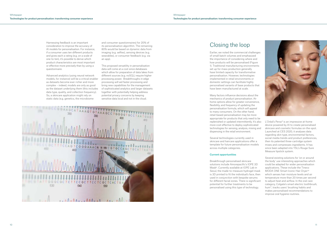Harnessing feedback is an important consideration to improve the accuracy of AI models for personalisation. For instance, if a consumer uses ten different products and gives each a rating (e.g. on a scale of one-to-ten), it's possible to derive which product characteristics are most important or effective more precisely than by using a questionnaire.

Advanced analytics (using neural network models, for instance) will be a critical enabler as datasets become ever richer and more complex – indeed, models are only as good as the dataset underlying them (this includes data type, quality, and collection frequency). So, a skincare application might rely on static data (e.g. genetics, the microbiome

and consumer questionnaires) for 20% of its personalisation algorithm. The remaining 80% would be based on dynamic data from imaging (e.g. selfies), sensing devices (e.g. wearables), or consumer feedback (e.g. via an app).

This proposed versatility in personalisation data will come at a cost since databases which allow for preparation of data lakes from different sources (e.g. noSQL) require higher processing power. Breakthroughs in edge processing will aid faster processing and bring new capabilities for the management of sophisticated analytics and larger datasets together with potentially helping address potential privacy concerns by keeping sensitive data local and not in the cloud.



L'Oréal's Perso<sup>9</sup> is an impressive at-home device powered by AI to create personalised skincare and cosmetic formulas on-the-spot. Launched at CES 2020, it analyses data regarding skin type, environmental factors, social media trends and product preferences, then its patented three-cartridge system mixes and compresses ingredients. It has since been adapted into YSL's Rouge Sure Measure lipstick system.

Earlier, we noted the commercial challenges of small batch volumes and emphasized the importance of considering where and how products will be personalised (Figure 1). Traditional manufacturing environments set up for mass production generally have limited capacity for transformative personalisation. However, technologies implemented in retail environments or domestic settings can facilitate highly personalised variants of base products that have been manufactured at scale.

Many factors influence decisions about the mechanics of product personalisation. Athome options allow for greater convenience, flexibility, and frequency of updating the personalisation formula, which will appeal to many consumers. On the other hand, retail-based personalisation may be more appropriate for products that only need to be replenished or updated intermittently. It's also more cost-effective to deploy sophisticated technologies for sensing, analysis, mixing and dispensing in the retail environment.

Several technologies currently used in skincare and haircare applications offer a template for future personalisation models across multiple categories.

### Current opportunities

Breakthrough personalised skincare solutions include Amorepacific's IOPE 3D Mask<sup>8</sup>. Currently available at IOPE Lab in Seoul, the made-to-measure hydrogel mask is 3D printed to fit the individual's face, then used in conjunction with bespoke serums for different facial zones. There is significant potential for further treatments to be personalised using this type of technology.



Several existing solutions for 'on or around the body' use interesting approaches which could be adapted for wider personalisation applications. These include the Tineco MODA ONE Smart Iconic Hair Dryer<sup>10</sup> which senses hair moisture levels and air temperature more than 20 times per second to adjust heat and airflow. In the oral care category, Colgate's smart electric toothbrush, hum<sup>11</sup>, tracks users' brushing habits and makes personalised recommendations to improve oral hygiene routines.

## Closing the loop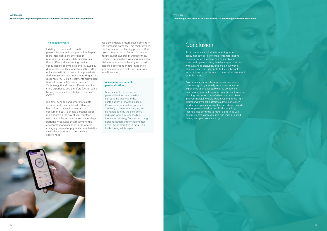### The next five years

Existing skincare and cosmetic personalisation technologies will underpin more intelligent consumer health offerings. For instance, UK-based retailer Boots offers a skin scanning service conducted by pharmacists and reviewed by dermatologists. This model could be further enhanced with AI-powered image analysis to diagnose skin conditions then trigger the dispense of OTC skin treatments formulated to meet individuals' specific needs. Technology that drives a differentiated instore experience and therefore footfall could be very significant to retail recovery post COVID.

In home, genomic and other static data sources could be combined with other biomarker data, environmental and consumer input, to enable personalisation in dispense on the day of use, together with data collected over time such as sleep patterns. Wearables that respond to the environment and changes in the wearer – changing thermal or physical characteristics – will also contribute to personalised experiences.

We also anticipate future developments in the homecare category. This might involve the formulation of cleaning products that take account of variables such as water hardness, pet ownership and floor type. Similarly, personalised washing machines, dishwashers or floor-cleaning robots will dispense detergent or determine cycle length according to real-time data from inbuilt sensors.

### A vision for sustainable personalisation

Many aspects of consumer personalisation raise questions surrounding waste and the sustainability of materials used. Conversely, personalised products are likely to be more satisfying and be kept longer by the consumer, reducing waste. A responsible innovation strategy finds ways to align personalisation and environmental goals. We explore this in detail in a forthcoming whitepaper.

Rapid technical evolution is enabling more consumer categories to explore transformative personalisation. Harnessing and combining static and dynamic data, then leveraging insights with advanced analytics, unlocks a new world of possibility. This is brought to life via bespoke formulations in the factory, in the retail environment, or in the home.

Any personalisation strategy needs to ensure it does enough to genuinely enrich the consumer experience at an acceptable price point while maintaining product margins. New technologies are pushing the boundaries of what can be achieved in a commercially viable way. Investing in the right digital and physical platforms allows consumer product companies to take focused steps towards a more personalised future. As the enabling technologies continue to mature, offerings will become increasingly valuable and individualized, driving competitive advantage.





## Conclusion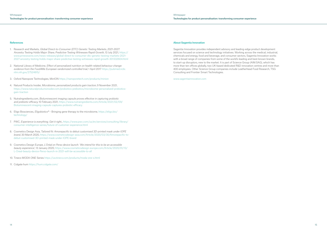### About Sagentia Innovation

Sagentia Innovation provides independent advisory and leading-edge product development services focused on science and technology initiatives. Working across the medical, industrial, chemicals and energy, food and beverage, and consumer sectors, Sagentia Innovation works with a broad range of companies from some of the world's leading and best-known brands, to start-up disruptors, new to the market. It is part of Science Group (AIM:SAG), which has more than ten offices globally, two UK-based dedicated R&D innovation centres and more than 400 employees. Other Science Group companies include Leatherhead Food Research, TSG Consulting and Frontier Smart Technologies.

www.sagentiainnovation.com

### References

- 1. Research and Markets, Global Direct-to-Consumer (DTC) Genetic Testing Markets, 2021-2027: Ancestry Testing Holds Major Share, Predictive Testing Witnesses Rapid Growth, 13 July 2021, https:// www.prnewswire.com/news-releases/global-direct-to-consumer-dtc-genetic-testing-markets-2021- 2027-ancestry-testing-holds-major-share-predictive-testing-witnesses-rapid-growth-301332604.html
- 2. National Library of Medicine, Effect of personalized nutrition on health-related behaviour change: evidence from the Food4Me European randomized controlled trial, 1 April 2017 [https://pubmed.ncbi.](https://pubmed.ncbi.nlm.nih.gov/27524815/) [nlm.nih.gov/27524815/](https://pubmed.ncbi.nlm.nih.gov/27524815/)
- 3. Oxford Nanopore Technologies, MinION https://nanoporetech.com/products/minion
- 4. Natural Products Insider, Microbiome, personalized products gain traction, 9 November 2021, https://www.naturalproductsinsider.com/probiotics-prebiotics/microbiome-personalized-probioticsgain-traction
- 5. NutraIngredients.com, Bioluminescent imaging capsule proves effective in capturing probiotic and prebiotic efficacy, 10 February 2021, [https://www.nutraingredients.com/Article/2021/02/09/](https://www.nutraingredients.com/Article/2021/02/09/Bioluminescent-imaging-capsule-captures-probiotic-efficacy) [Bioluminescent-imaging-capsule-captures-probiotic-efficacy](https://www.nutraingredients.com/Article/2021/02/09/Bioluminescent-imaging-capsule-captures-probiotic-efficacy)
- 6. Eligo Biosciences, *Eligobiotics*<sup>®</sup> Bringing gene therapy to the microbiome, [https://eligo.bio/](https://eligo.bio/technology/) [technology/](https://eligo.bio/technology/)
- 7. PWC, Experience is everything. Get it right., [https://www.pwc.com/us/en/services/consulting/library/](https://www.pwc.com/us/en/services/consulting/library/consumer-intelligence-series/future-of-customer-experience.html) [consumer-intelligence-series/future-of-customer-experience.html](https://www.pwc.com/us/en/services/consulting/library/consumer-intelligence-series/future-of-customer-experience.html)
- 8. Cosmetics Design Asia, Tailored fit: Amorepacific to debut customised 3D-printed mask under IOPE brand, 30 March 2020, https://www.cosmeticsdesign-asia.com/Article/2020/03/30/Amorepacific-todebut-customised-3D-printed-mask-under-IOPE-brand
- 9. Cosmetics Design Europe, L'Oréal on Perso device launch: 'We intend for this to be an accessible beauty experience', 13 January 2020, [https://www.cosmeticsdesign-europe.com/Article/2020/01/13/](https://www.cosmeticsdesign-europe.com/Article/2020/01/13/L-Oreal-beauty-device-Perso-launch-in-2021-will-be-accessible-to-all) [L-Oreal-beauty-device-Perso-launch-in-2021-will-be-accessible-to-all](https://www.cosmeticsdesign-europe.com/Article/2020/01/13/L-Oreal-beauty-device-Perso-launch-in-2021-will-be-accessible-to-all)
- 10. Tineco MODA ONE Series https://us.tineco.com/products/moda-one-s.html
- 11. Colgate hum https://hum.colgate.com/